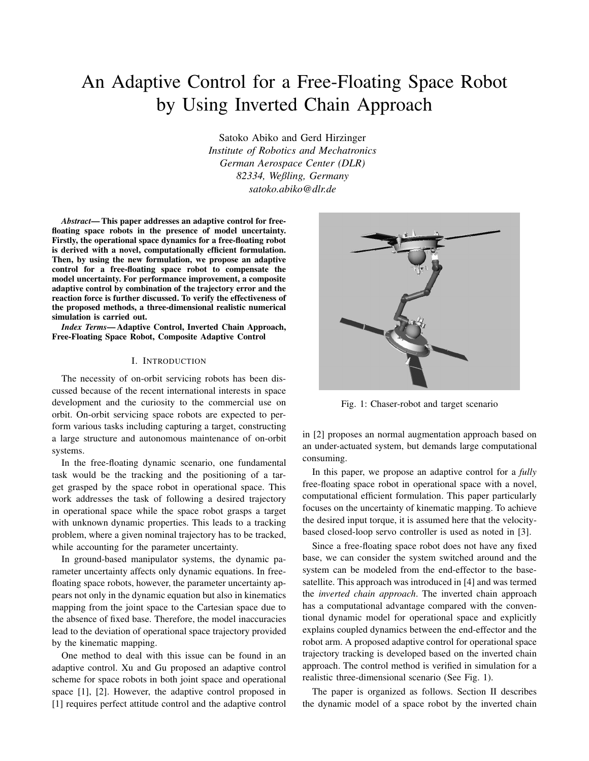# An Adaptive Control for a Free-Floating Space Robot by Using Inverted Chain Approach

Satoko Abiko and Gerd Hirzinger *Institute of Robotics and Mechatronics German Aerospace Center (DLR) 82334, Weßling, Germany satoko.abiko@dlr.de*

*Abstract*— This paper addresses an adaptive control for freefloating space robots in the presence of model uncertainty. Firstly, the operational space dynamics for a free-floating robot is derived with a novel, computationally efficient formulation. Then, by using the new formulation, we propose an adaptive control for a free-floating space robot to compensate the model uncertainty. For performance improvement, a composite adaptive control by combination of the trajectory error and the reaction force is further discussed. To verify the effectiveness of the proposed methods, a three-dimensional realistic numerical simulation is carried out.

*Index Terms*— Adaptive Control, Inverted Chain Approach, Free-Floating Space Robot, Composite Adaptive Control

#### I. INTRODUCTION

The necessity of on-orbit servicing robots has been discussed because of the recent international interests in space development and the curiosity to the commercial use on orbit. On-orbit servicing space robots are expected to perform various tasks including capturing a target, constructing a large structure and autonomous maintenance of on-orbit systems.

In the free-floating dynamic scenario, one fundamental task would be the tracking and the positioning of a target grasped by the space robot in operational space. This work addresses the task of following a desired trajectory in operational space while the space robot grasps a target with unknown dynamic properties. This leads to a tracking problem, where a given nominal trajectory has to be tracked, while accounting for the parameter uncertainty.

In ground-based manipulator systems, the dynamic parameter uncertainty affects only dynamic equations. In freefloating space robots, however, the parameter uncertainty appears not only in the dynamic equation but also in kinematics mapping from the joint space to the Cartesian space due to the absence of fixed base. Therefore, the model inaccuracies lead to the deviation of operational space trajectory provided by the kinematic mapping.

One method to deal with this issue can be found in an adaptive control. Xu and Gu proposed an adaptive control scheme for space robots in both joint space and operational space [1], [2]. However, the adaptive control proposed in [1] requires perfect attitude control and the adaptive control



Fig. 1: Chaser-robot and target scenario

in [2] proposes an normal augmentation approach based on an under-actuated system, but demands large computational consuming.

In this paper, we propose an adaptive control for a *fully* free-floating space robot in operational space with a novel, computational efficient formulation. This paper particularly focuses on the uncertainty of kinematic mapping. To achieve the desired input torque, it is assumed here that the velocitybased closed-loop servo controller is used as noted in [3].

Since a free-floating space robot does not have any fixed base, we can consider the system switched around and the system can be modeled from the end-effector to the basesatellite. This approach was introduced in [4] and was termed the *inverted chain approach*. The inverted chain approach has a computational advantage compared with the conventional dynamic model for operational space and explicitly explains coupled dynamics between the end-effector and the robot arm. A proposed adaptive control for operational space trajectory tracking is developed based on the inverted chain approach. The control method is verified in simulation for a realistic three-dimensional scenario (See Fig. 1).

The paper is organized as follows. Section II describes the dynamic model of a space robot by the inverted chain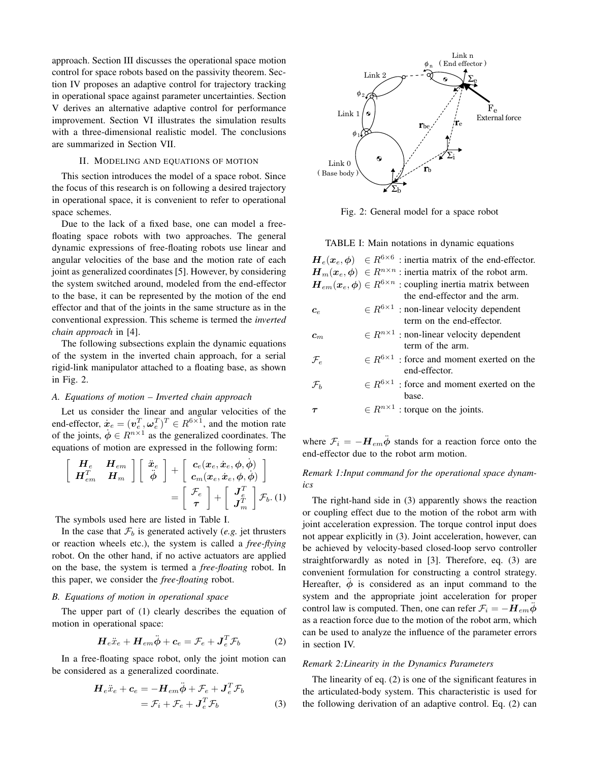approach. Section III discusses the operational space motion control for space robots based on the passivity theorem. Section IV proposes an adaptive control for trajectory tracking in operational space against parameter uncertainties. Section V derives an alternative adaptive control for performance improvement. Section VI illustrates the simulation results with a three-dimensional realistic model. The conclusions are summarized in Section VII.

#### II. MODELING AND EQUATIONS OF MOTION

This section introduces the model of a space robot. Since the focus of this research is on following a desired trajectory in operational space, it is convenient to refer to operational space schemes.

Due to the lack of a fixed base, one can model a freefloating space robots with two approaches. The general dynamic expressions of free-floating robots use linear and angular velocities of the base and the motion rate of each joint as generalized coordinates [5]. However, by considering the system switched around, modeled from the end-effector to the base, it can be represented by the motion of the end effector and that of the joints in the same structure as in the conventional expression. This scheme is termed the *inverted chain approach* in [4].

The following subsections explain the dynamic equations of the system in the inverted chain approach, for a serial rigid-link manipulator attached to a floating base, as shown in Fig. 2.

## *A. Equations of motion – Inverted chain approach*

Let us consider the linear and angular velocities of the end-effector,  $\dot{\boldsymbol{x}}_e = (\boldsymbol{v}_e^T, \boldsymbol{\omega}_e^T)^T \in R^{6 \times 1}$ , and the motion rate of the joints,  $\phi \in R^{n \times 1}$  as the generalized coordinates. The equations of motion are expressed in the following form:

$$
\begin{bmatrix}\n\boldsymbol{H}_{e} & \boldsymbol{H}_{em} \\
\boldsymbol{H}_{em}^{T} & \boldsymbol{H}_{m}\n\end{bmatrix}\n\begin{bmatrix}\n\ddot{x}_{e} \\
\ddot{\phi}\n\end{bmatrix} + \begin{bmatrix}\n\boldsymbol{c}_{e}(\boldsymbol{x}_{e}, \dot{\boldsymbol{x}}_{e}, \phi, \dot{\phi}) \\
\boldsymbol{c}_{m}(\boldsymbol{x}_{e}, \dot{\boldsymbol{x}}_{e}, \phi, \dot{\phi})\n\end{bmatrix} = \begin{bmatrix}\n\mathcal{F}_{e} \\
\boldsymbol{\tau}\n\end{bmatrix} + \begin{bmatrix}\n\boldsymbol{J}_{e}^{T} \\
\boldsymbol{J}_{m}^{T}\n\end{bmatrix}\mathcal{F}_{b}.
$$
 (1)

The symbols used here are listed in Table I.

In the case that  $\mathcal{F}_b$  is generated actively (*e.g.* jet thrusters or reaction wheels etc.), the system is called a *free-flying* robot. On the other hand, if no active actuators are applied on the base, the system is termed a *free-floating* robot. In this paper, we consider the *free-floating* robot.

# *B. Equations of motion in operational space*

The upper part of (1) clearly describes the equation of motion in operational space:

$$
\boldsymbol{H}_e \ddot{\boldsymbol{x}}_e + \boldsymbol{H}_{em} \ddot{\boldsymbol{\phi}} + \boldsymbol{c}_e = \mathcal{F}_e + \boldsymbol{J}_e^T \mathcal{F}_b \tag{2}
$$

In a free-floating space robot, only the joint motion can be considered as a generalized coordinate.

$$
\begin{aligned} \boldsymbol{H}_e \ddot{\boldsymbol{x}}_e + \boldsymbol{c}_e &= -\boldsymbol{H}_{em} \ddot{\boldsymbol{\phi}} + \mathcal{F}_e + \boldsymbol{J}_e^T \mathcal{F}_b \\ &= \mathcal{F}_i + \mathcal{F}_e + \boldsymbol{J}_e^T \mathcal{F}_b \end{aligned} \tag{3}
$$



Fig. 2: General model for a space robot

TABLE I: Main notations in dynamic equations

|                            | $H_e(x_e, \phi) \in R^{6 \times 6}$ : inertia matrix of the end-effector.                                                                        |
|----------------------------|--------------------------------------------------------------------------------------------------------------------------------------------------|
|                            | $\mathbf{H}_m(\mathbf{x}_e, \phi) \in R^{n \times n}$ : inertia matrix of the robot arm.                                                         |
|                            | $\boldsymbol{H}_{em}(\boldsymbol{x}_e, \boldsymbol{\phi}) \in R^{6 \times n}$ : coupling inertia matrix between<br>the end-effector and the arm. |
| $c_{\scriptscriptstyle e}$ | $\in R^{6\times 1}$ : non-linear velocity dependent<br>term on the end-effector.                                                                 |
| $\bm{c}_{m}$               | $\in R^{n\times 1}$ : non-linear velocity dependent<br>term of the arm.                                                                          |
| $\mathcal{F}_{e}$          | $\in R^{6\times 1}$ : force and moment exerted on the<br>end-effector.                                                                           |
| $\mathcal{F}_h$            | $\in R^{6\times 1}$ : force and moment exerted on the<br>base.                                                                                   |
|                            | $\in R^{n\times 1}$ : torque on the joints.                                                                                                      |

where  $\mathcal{F}_i = -\mathbf{H}_{em} \ddot{\phi}$  stands for a reaction force onto the end-effector due to the robot arm motion.

# *Remark 1:Input command for the operational space dynamics*

The right-hand side in (3) apparently shows the reaction or coupling effect due to the motion of the robot arm with joint acceleration expression. The torque control input does not appear explicitly in (3). Joint acceleration, however, can be achieved by velocity-based closed-loop servo controller straightforwardly as noted in [3]. Therefore, eq. (3) are convenient formulation for constructing a control strategy. Hereafter,  $\phi$  is considered as an input command to the system and the appropriate joint acceleration for proper control law is computed. Then, one can refer  $\mathcal{F}_i = -H_{em}\ddot{\phi}$ as a reaction force due to the motion of the robot arm, which can be used to analyze the influence of the parameter errors in section IV.

# *Remark 2:Linearity in the Dynamics Parameters*

The linearity of eq. (2) is one of the significant features in the articulated-body system. This characteristic is used for the following derivation of an adaptive control. Eq. (2) can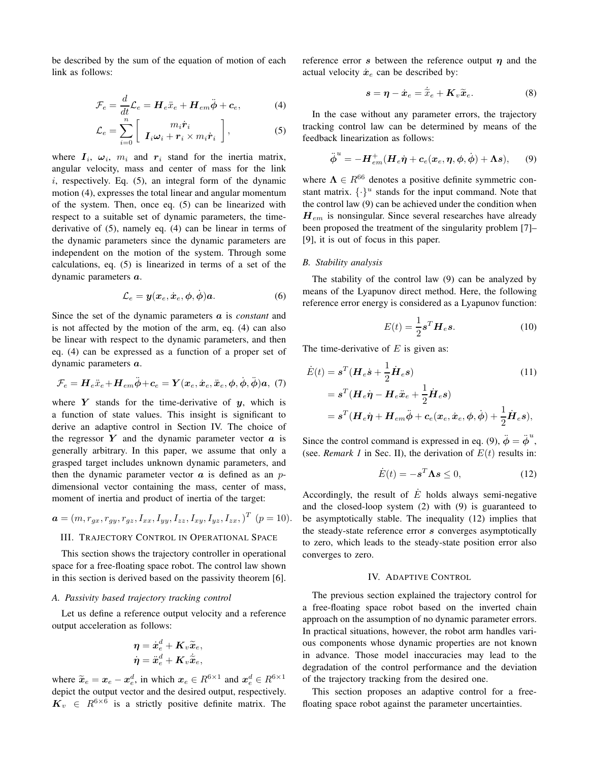be described by the sum of the equation of motion of each link as follows:

$$
\mathcal{F}_e = \frac{d}{dt}\mathcal{L}_e = \boldsymbol{H}_e \ddot{x}_e + \boldsymbol{H}_{em} \ddot{\boldsymbol{\phi}} + \boldsymbol{c}_e, \tag{4}
$$

$$
\mathcal{L}_e = \sum_{i=0}^n \left[ \begin{array}{c} m_i \dot{\boldsymbol{r}}_i \\ \boldsymbol{I}_i \boldsymbol{\omega}_i + \boldsymbol{r}_i \times m_i \dot{\boldsymbol{r}}_i \end{array} \right],
$$
 (5)

where  $I_i$ ,  $\omega_i$ ,  $m_i$  and  $r_i$  stand for the inertia matrix, angular velocity, mass and center of mass for the link *i*, respectively. Eq. (5), an integral form of the dynamic motion (4), expresses the total linear and angular momentum of the system. Then, once eq. (5) can be linearized with respect to a suitable set of dynamic parameters, the timederivative of (5), namely eq. (4) can be linear in terms of the dynamic parameters since the dynamic parameters are independent on the motion of the system. Through some calculations, eq. (5) is linearized in terms of a set of the dynamic parameters *a*.

$$
\mathcal{L}_e = \mathbf{y}(\mathbf{x}_e, \dot{\mathbf{x}}_e, \phi, \dot{\phi})\mathbf{a}.\tag{6}
$$

Since the set of the dynamic parameters *a* is *constant* and is not affected by the motion of the arm, eq. (4) can also be linear with respect to the dynamic parameters, and then eq. (4) can be expressed as a function of a proper set of dynamic parameters *a*.

$$
\mathcal{F}_e = \boldsymbol{H}_e \ddot{\boldsymbol{x}}_e + \boldsymbol{H}_{em} \ddot{\boldsymbol{\phi}} + \boldsymbol{c}_e = \boldsymbol{Y}(\boldsymbol{x}_e, \dot{\boldsymbol{x}}_e, \ddot{\boldsymbol{x}}_e, \boldsymbol{\phi}, \dot{\boldsymbol{\phi}}, \ddot{\boldsymbol{\phi}}) \boldsymbol{a}, (7)
$$

where  $Y$  stands for the time-derivative of  $y$ , which is a function of state values. This insight is significant to derive an adaptive control in Section IV. The choice of the regressor  $Y$  and the dynamic parameter vector  $a$  is generally arbitrary. In this paper, we assume that only a grasped target includes unknown dynamic parameters, and then the dynamic parameter vector  $\alpha$  is defined as an  $p$ dimensional vector containing the mass, center of mass, moment of inertia and product of inertia of the target:

$$
\mathbf{a} = (m, r_{gx}, r_{gy}, r_{gz}, I_{xx}, I_{yy}, I_{zz}, I_{xy}, I_{yz}, I_{zx})^T \quad (p = 10).
$$

### III. TRAJECTORY CONTROL IN OPERATIONAL SPACE

This section shows the trajectory controller in operational space for a free-floating space robot. The control law shown in this section is derived based on the passivity theorem [6].

## *A. Passivity based trajectory tracking control*

Let us define a reference output velocity and a reference output acceleration as follows:

$$
\begin{aligned} \boldsymbol{\eta} &= \dot{\boldsymbol{x}}_e^d + \boldsymbol{K}_v \widetilde{\boldsymbol{x}}_e, \\ \dot{\boldsymbol{\eta}} &= \ddot{\boldsymbol{x}}_e^d + \boldsymbol{K}_v \dot{\widetilde{\boldsymbol{x}}}_e, \end{aligned}
$$

where  $\widetilde{x}_e = x_e - x_e^d$ , in which  $x_e \in R^{6 \times 1}$  and  $x_e^d \in R^{6 \times 1}$ depict the output vector and the desired output, respectively.  $K_v \in R^{6 \times 6}$  is a strictly positive definite matrix. The reference error *s* between the reference output *η* and the actual velocity  $\dot{x}_e$  can be described by:

$$
\mathbf{s} = \boldsymbol{\eta} - \dot{\boldsymbol{x}}_e = \dot{\tilde{\boldsymbol{x}}}_e + \boldsymbol{K}_v \tilde{\boldsymbol{x}}_e. \tag{8}
$$

In the case without any parameter errors, the trajectory tracking control law can be determined by means of the feedback linearization as follows:

$$
\ddot{\boldsymbol{\phi}}^u = -\boldsymbol{H}_{em}^+(\boldsymbol{H}_e\dot{\boldsymbol{\eta}} + \boldsymbol{c}_e(\boldsymbol{x}_e, \boldsymbol{\eta}, \boldsymbol{\phi}, \dot{\boldsymbol{\phi}}) + \boldsymbol{\Lambda}\boldsymbol{s}),\qquad(9)
$$

where  $\Lambda \in R^{66}$  denotes a positive definite symmetric constant matrix.  $\{\cdot\}^u$  stands for the input command. Note that the control law (9) can be achieved under the condition when *Hem* is nonsingular. Since several researches have already been proposed the treatment of the singularity problem [7]– [9], it is out of focus in this paper.

## *B. Stability analysis*

The stability of the control law (9) can be analyzed by means of the Lyapunov direct method. Here, the following reference error energy is considered as a Lyapunov function:

$$
E(t) = \frac{1}{2} \boldsymbol{s}^T \boldsymbol{H}_e \boldsymbol{s}.
$$
 (10)

The time-derivative of *E* is given as:

$$
\dot{E}(t) = \mathbf{s}^{T} (\mathbf{H}_{e}\dot{\mathbf{s}} + \frac{1}{2}\dot{\mathbf{H}}_{e}\mathbf{s})
$$
(11)  

$$
= \mathbf{s}^{T} (\mathbf{H}_{e}\dot{\boldsymbol{\eta}} - \mathbf{H}_{e}\ddot{\mathbf{x}}_{e} + \frac{1}{2}\dot{\mathbf{H}}_{e}\mathbf{s})
$$

$$
= \mathbf{s}^{T} (\mathbf{H}_{e}\dot{\boldsymbol{\eta}} + \mathbf{H}_{em}\ddot{\boldsymbol{\phi}} + \mathbf{c}_{e}(\mathbf{x}_{e}, \dot{\mathbf{x}}_{e}, \boldsymbol{\phi}, \dot{\boldsymbol{\phi}}) + \frac{1}{2}\dot{\mathbf{H}}_{e}\mathbf{s}),
$$

Since the control command is expressed in eq. (9),  $\ddot{\phi} = \ddot{\phi}^u$ , (see. *Remark 1* in Sec. II), the derivation of  $E(t)$  results in:

$$
\dot{E}(t) = -s^T \Lambda s \le 0,\tag{12}
$$

Accordingly, the result of  $\dot{E}$  holds always semi-negative and the closed-loop system (2) with (9) is guaranteed to be asymptotically stable. The inequality (12) implies that the steady-state reference error *s* converges asymptotically to zero, which leads to the steady-state position error also converges to zero.

# IV. ADAPTIVE CONTROL

The previous section explained the trajectory control for a free-floating space robot based on the inverted chain approach on the assumption of no dynamic parameter errors. In practical situations, however, the robot arm handles various components whose dynamic properties are not known in advance. Those model inaccuracies may lead to the degradation of the control performance and the deviation of the trajectory tracking from the desired one.

This section proposes an adaptive control for a freefloating space robot against the parameter uncertainties.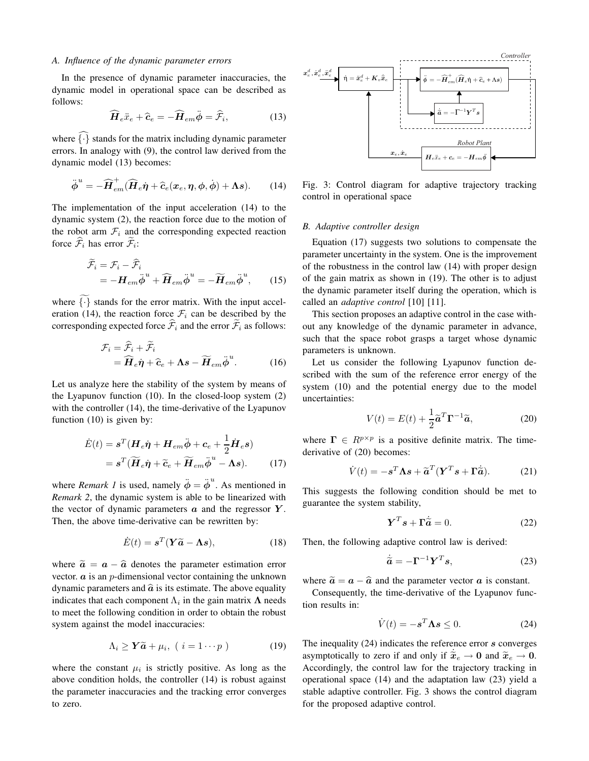#### *A. Influence of the dynamic parameter errors*

In the presence of dynamic parameter inaccuracies, the dynamic model in operational space can be described as follows:

$$
\widehat{\boldsymbol{H}}_e \ddot{\boldsymbol{x}}_e + \widehat{\boldsymbol{c}}_e = -\widehat{\boldsymbol{H}}_{em} \ddot{\boldsymbol{\phi}} = \widehat{\mathcal{F}}_i,\tag{13}
$$

where  $\widehat{\{\cdot\}}$  stands for the matrix including dynamic parameter errors. In analogy with (9), the control law derived from the dynamic model (13) becomes:

$$
\ddot{\phi}^u = -\widehat{\boldsymbol{H}}_{em}^{\dagger}(\widehat{\boldsymbol{H}}_e \dot{\boldsymbol{\eta}} + \widehat{\boldsymbol{c}}_e(\boldsymbol{x}_e, \boldsymbol{\eta}, \boldsymbol{\phi}, \dot{\boldsymbol{\phi}}) + \boldsymbol{\Lambda}\boldsymbol{s}). \qquad (14)
$$

The implementation of the input acceleration (14) to the dynamic system (2), the reaction force due to the motion of the robot arm  $F_i$  and the corresponding expected reaction force  $\hat{\mathcal{F}}_i$  has error  $\tilde{\mathcal{F}}_i$ :

$$
\widetilde{\mathcal{F}}_i = \mathcal{F}_i - \widehat{\mathcal{F}}_i \n= -H_{em}\ddot{\phi}^u + \widehat{H}_{em}\ddot{\phi}^u = -\widetilde{H}_{em}\ddot{\phi}^u,
$$
\n(15)

where  $\{\cdot\}$  stands for the error matrix. With the input acceleration (14), the reaction force  $\mathcal{F}_i$  can be described by the corresponding expected force  $\widehat{\mathcal{F}}_i$  and the error  $\widetilde{\mathcal{F}}_i$  as follows:

$$
\mathcal{F}_i = \hat{\mathcal{F}}_i + \tilde{\mathcal{F}}_i
$$
  
=  $\widehat{\mathbf{H}}_e \dot{\boldsymbol{\eta}} + \widehat{\mathbf{c}}_e + \mathbf{\Lambda} \boldsymbol{s} - \widetilde{\mathbf{H}}_{em} \ddot{\boldsymbol{\phi}}^u.$  (16)

Let us analyze here the stability of the system by means of the Lyapunov function (10). In the closed-loop system (2) with the controller (14), the time-derivative of the Lyapunov function (10) is given by:

$$
\dot{E}(t) = \mathbf{s}^{T} (\mathbf{H}_{e}\dot{\boldsymbol{\eta}} + \mathbf{H}_{em}\ddot{\boldsymbol{\phi}} + \mathbf{c}_{e} + \frac{1}{2}\dot{\mathbf{H}}_{e}\mathbf{s})
$$
\n
$$
= \mathbf{s}^{T} (\widetilde{\mathbf{H}}_{e}\dot{\boldsymbol{\eta}} + \widetilde{\mathbf{c}}_{e} + \widetilde{\mathbf{H}}_{em}\ddot{\boldsymbol{\phi}}^{u} - \mathbf{\Lambda}\mathbf{s}). \tag{17}
$$

where *Remark 1* is used, namely  $\ddot{\phi} = \ddot{\phi}^u$ . As mentioned in *Remark 2*, the dynamic system is able to be linearized with the vector of dynamic parameters *a* and the regressor *Y* . Then, the above time-derivative can be rewritten by:

$$
\dot{E}(t) = \mathbf{s}^T (\mathbf{Y}\widetilde{\mathbf{a}} - \mathbf{\Lambda}\mathbf{s}), \tag{18}
$$

where  $\tilde{a} = a - \hat{a}$  denotes the parameter estimation error vector. *a* is an *p*-dimensional vector containing the unknown dynamic parameters and  $\hat{a}$  is its estimate. The above equality indicates that each component  $\Lambda_i$  in the gain matrix  $\Lambda$  needs to meet the following condition in order to obtain the robust system against the model inaccuracies:

$$
\Lambda_i \ge \mathbf{Y}\widetilde{\mathbf{a}} + \mu_i, \ (i = 1 \cdots p) \tag{19}
$$

where the constant  $\mu_i$  is strictly positive. As long as the above condition holds, the controller (14) is robust against the parameter inaccuracies and the tracking error converges to zero.



Fig. 3: Control diagram for adaptive trajectory tracking control in operational space

# *B. Adaptive controller design*

Equation (17) suggests two solutions to compensate the parameter uncertainty in the system. One is the improvement of the robustness in the control law (14) with proper design of the gain matrix as shown in (19). The other is to adjust the dynamic parameter itself during the operation, which is called an *adaptive control* [10] [11].

This section proposes an adaptive control in the case without any knowledge of the dynamic parameter in advance, such that the space robot grasps a target whose dynamic parameters is unknown.

Let us consider the following Lyapunov function described with the sum of the reference error energy of the system (10) and the potential energy due to the model uncertainties:

$$
V(t) = E(t) + \frac{1}{2}\tilde{\mathbf{a}}^T \mathbf{\Gamma}^{-1} \tilde{\mathbf{a}},
$$
 (20)

where  $\mathbf{\Gamma} \in R^{p \times p}$  is a positive definite matrix. The timederivative of (20) becomes:

$$
\dot{V}(t) = -s^T \Lambda s + \tilde{a}^T (\boldsymbol{Y}^T s + \boldsymbol{\Gamma} \dot{\tilde{a}}). \tag{21}
$$

This suggests the following condition should be met to guarantee the system stability,

$$
\mathbf{Y}^T \mathbf{s} + \mathbf{\Gamma} \dot{\tilde{\mathbf{a}}} = 0. \tag{22}
$$

Then, the following adaptive control law is derived:

$$
\dot{\tilde{a}} = -\Gamma^{-1} Y^T s,\tag{23}
$$

where  $\tilde{a} = a - \hat{a}$  and the parameter vector *a* is constant.

Consequently, the time-derivative of the Lyapunov function results in:

$$
\dot{V}(t) = -s^T \Lambda s \le 0. \tag{24}
$$

The inequality (24) indicates the reference error *s* converges asymptotically to zero if and only if  $\tilde{x}_e \rightarrow 0$  and  $\tilde{x}_e \rightarrow 0$ . Accordingly, the control law for the trajectory tracking in operational space (14) and the adaptation law (23) yield a stable adaptive controller. Fig. 3 shows the control diagram for the proposed adaptive control.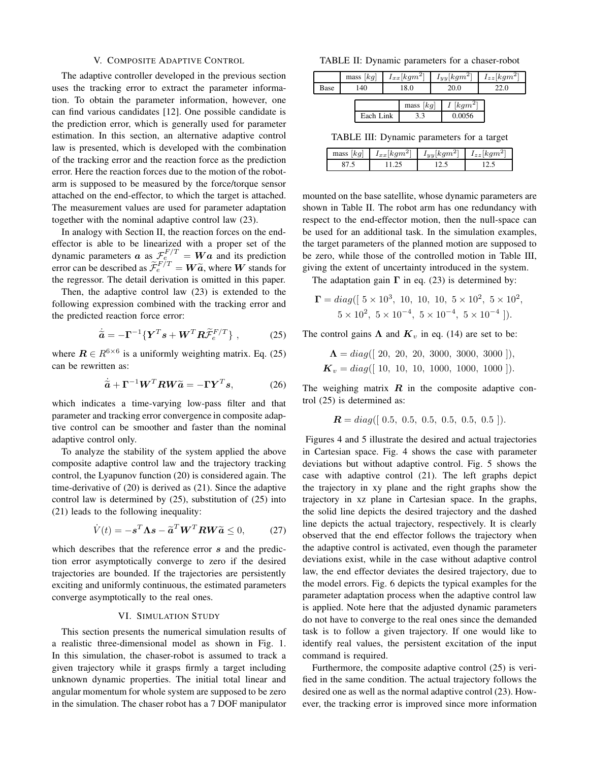#### V. COMPOSITE ADAPTIVE CONTROL

The adaptive controller developed in the previous section uses the tracking error to extract the parameter information. To obtain the parameter information, however, one can find various candidates [12]. One possible candidate is the prediction error, which is generally used for parameter estimation. In this section, an alternative adaptive control law is presented, which is developed with the combination of the tracking error and the reaction force as the prediction error. Here the reaction forces due to the motion of the robotarm is supposed to be measured by the force/torque sensor attached on the end-effector, to which the target is attached. The measurement values are used for parameter adaptation together with the nominal adaptive control law (23).

In analogy with Section II, the reaction forces on the endeffector is able to be linearized with a proper set of the dynamic parameters *a* as  $\mathcal{F}_e^{F/T} = \mathbf{W} \mathbf{a}$  and its prediction error can be described as  $\widetilde{\mathcal{F}}_e^{F/T} = W\widetilde{a}$ , where *W* stands for the regressor. The detail derivation is omitted in this paper.

Then, the adaptive control law (23) is extended to the following expression combined with the tracking error and the predicted reaction force error:

$$
\dot{\tilde{a}} = -\Gamma^{-1} \{ \boldsymbol{Y}^T \boldsymbol{s} + \boldsymbol{W}^T \boldsymbol{R} \tilde{\mathcal{F}}_e^{F/T} \}, \qquad (25)
$$

where  $\mathbf{R} \in \mathbb{R}^{6 \times 6}$  is a uniformly weighting matrix. Eq. (25) can be rewritten as:

$$
\dot{\tilde{a}} + \Gamma^{-1} W^T R W \tilde{a} = -\Gamma Y^T s, \qquad (26)
$$

which indicates a time-varying low-pass filter and that parameter and tracking error convergence in composite adaptive control can be smoother and faster than the nominal adaptive control only.

To analyze the stability of the system applied the above composite adaptive control law and the trajectory tracking control, the Lyapunov function (20) is considered again. The time-derivative of (20) is derived as (21). Since the adaptive control law is determined by (25), substitution of (25) into (21) leads to the following inequality:

$$
\dot{V}(t) = -s^T \Lambda s - \tilde{a}^T W^T R W \tilde{a} \le 0, \qquad (27)
$$

which describes that the reference error *s* and the prediction error asymptotically converge to zero if the desired trajectories are bounded. If the trajectories are persistently exciting and uniformly continuous, the estimated parameters converge asymptotically to the real ones.

#### VI. SIMULATION STUDY

This section presents the numerical simulation results of a realistic three-dimensional model as shown in Fig. 1. In this simulation, the chaser-robot is assumed to track a given trajectory while it grasps firmly a target including unknown dynamic properties. The initial total linear and angular momentum for whole system are supposed to be zero in the simulation. The chaser robot has a 7 DOF manipulator

TABLE II: Dynamic parameters for a chaser-robot

|      | [kg]<br>mass | $I_{xx}[kgm^2]$ $I_{yy}[kgm^2]$ | $I_{zz}$ [kgm <sup>21</sup> ] |
|------|--------------|---------------------------------|-------------------------------|
| Base | 140          | 20.0                            | $-1$                          |
|      |              |                                 |                               |

|           | mass<br> ka | $I$ [kgm <sup>2+</sup> |
|-----------|-------------|------------------------|
| Each Link |             |                        |

TABLE III: Dynamic parameters for a target

| [kg]<br>mass | $I_{xx}[kgm^2]$ | $I_{yy} [kgm^2]$ | $I_{zz}$   $kgm^2$ |
|--------------|-----------------|------------------|--------------------|
|              |                 |                  |                    |

mounted on the base satellite, whose dynamic parameters are shown in Table II. The robot arm has one redundancy with respect to the end-effector motion, then the null-space can be used for an additional task. In the simulation examples, the target parameters of the planned motion are supposed to be zero, while those of the controlled motion in Table III, giving the extent of uncertainty introduced in the system.

The adaptation gain  $\Gamma$  in eq. (23) is determined by:

$$
\Gamma = diag([5 \times 10^3, 10, 10, 10, 5 \times 10^2, 5 \times 10^2, 5 \times 10^2, 5 \times 10^2, 5 \times 10^{-4}, 5 \times 10^{-4}, 5 \times 10^{-4}]).
$$

The control gains  $\Lambda$  and  $K_v$  in eq. (14) are set to be:

$$
\Lambda = diag([20, 20, 20, 3000, 3000, 3000]),
$$
  

$$
K_v = diag([10, 10, 10, 1000, 1000, 1000]).
$$

The weighing matrix  $R$  in the composite adaptive control (25) is determined as:

$$
R = diag([ 0.5, 0.5, 0.5, 0.5, 0.5, 0.5 ]).
$$

Figures 4 and 5 illustrate the desired and actual trajectories in Cartesian space. Fig. 4 shows the case with parameter deviations but without adaptive control. Fig. 5 shows the case with adaptive control (21). The left graphs depict the trajectory in xy plane and the right graphs show the trajectory in xz plane in Cartesian space. In the graphs, the solid line depicts the desired trajectory and the dashed line depicts the actual trajectory, respectively. It is clearly observed that the end effector follows the trajectory when the adaptive control is activated, even though the parameter deviations exist, while in the case without adaptive control law, the end effector deviates the desired trajectory, due to the model errors. Fig. 6 depicts the typical examples for the parameter adaptation process when the adaptive control law is applied. Note here that the adjusted dynamic parameters do not have to converge to the real ones since the demanded task is to follow a given trajectory. If one would like to identify real values, the persistent excitation of the input command is required.

Furthermore, the composite adaptive control (25) is verified in the same condition. The actual trajectory follows the desired one as well as the normal adaptive control (23). However, the tracking error is improved since more information